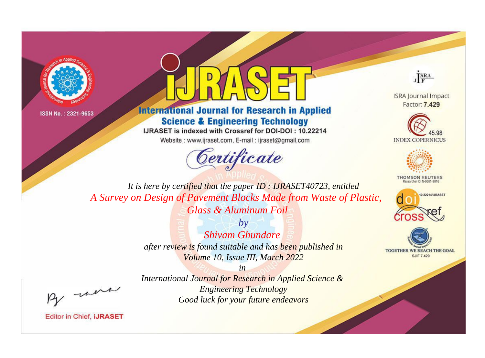



**International Journal for Research in Applied Science & Engineering Technology** 

IJRASET is indexed with Crossref for DOI-DOI: 10.22214

Website: www.ijraset.com, E-mail: ijraset@gmail.com





**ISRA Journal Impact** Factor: 7.429





**THOMSON REUTERS** 



TOGETHER WE REACH THE GOAL **SJIF 7.429** 

*It is here by certified that the paper ID : IJRASET40723, entitled A Survey on Design of Pavement Blocks Made from Waste of Plastic, Glass & Aluminum Foil*

> *by Shivam Ghundare after review is found suitable and has been published in Volume 10, Issue III, March 2022*

, un

*International Journal for Research in Applied Science & Engineering Technology Good luck for your future endeavors*

*in*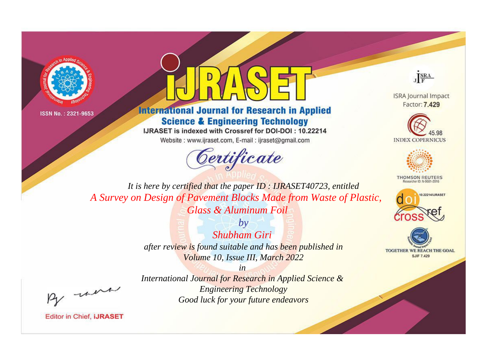



**International Journal for Research in Applied Science & Engineering Technology** 

IJRASET is indexed with Crossref for DOI-DOI: 10.22214

Website: www.ijraset.com, E-mail: ijraset@gmail.com





**ISRA Journal Impact** Factor: 7.429





**THOMSON REUTERS** 



TOGETHER WE REACH THE GOAL **SJIF 7.429** 

*It is here by certified that the paper ID : IJRASET40723, entitled A Survey on Design of Pavement Blocks Made from Waste of Plastic, Glass & Aluminum Foil*

> *by Shubham Giri after review is found suitable and has been published in Volume 10, Issue III, March 2022*

, un

*International Journal for Research in Applied Science & Engineering Technology Good luck for your future endeavors*

*in*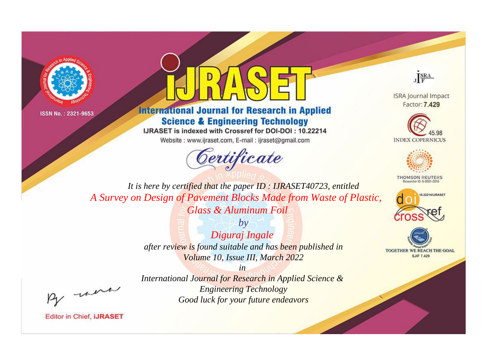



**International Journal for Research in Applied Science & Engineering Technology** 

IJRASET is indexed with Crossref for DOI-DOI: 10.22214

Website: www.ijraset.com, E-mail: ijraset@gmail.com



JERA

**ISRA Journal Impact** Factor: 7.429





**THOMSON REUTERS** 



TOGETHER WE REACH THE GOAL **SJIF 7.429** 

It is here by certified that the paper ID: IJRASET40723, entitled A Survey on Design of Pavement Blocks Made from Waste of Plastic, Glass & Aluminum Foil

> $b\nu$ Diguraj Ingale after review is found suitable and has been published in Volume 10, Issue III, March 2022

were

International Journal for Research in Applied Science & **Engineering Technology** Good luck for your future endeavors

 $in$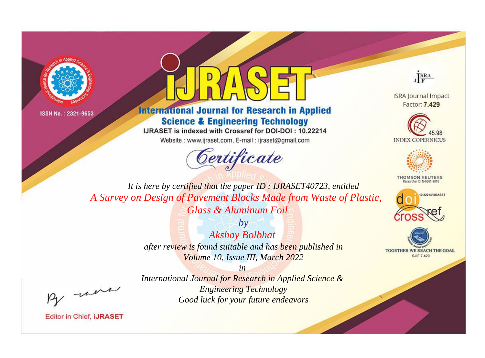



**International Journal for Research in Applied Science & Engineering Technology** 

IJRASET is indexed with Crossref for DOI-DOI: 10.22214

Website: www.ijraset.com, E-mail: ijraset@gmail.com





**ISRA Journal Impact** Factor: 7.429





**THOMSON REUTERS** 



TOGETHER WE REACH THE GOAL **SJIF 7.429** 

*It is here by certified that the paper ID : IJRASET40723, entitled A Survey on Design of Pavement Blocks Made from Waste of Plastic, Glass & Aluminum Foil*

> *by Akshay Bolbhat after review is found suitable and has been published in Volume 10, Issue III, March 2022*

, un

*International Journal for Research in Applied Science & Engineering Technology Good luck for your future endeavors*

*in*